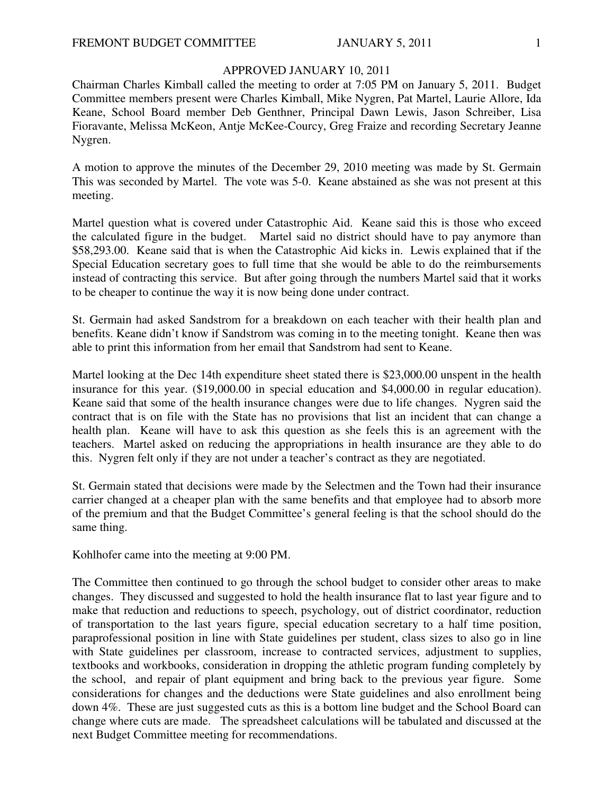### APPROVED JANUARY 10, 2011

Chairman Charles Kimball called the meeting to order at 7:05 PM on January 5, 2011. Budget Committee members present were Charles Kimball, Mike Nygren, Pat Martel, Laurie Allore, Ida Keane, School Board member Deb Genthner, Principal Dawn Lewis, Jason Schreiber, Lisa Fioravante, Melissa McKeon, Antje McKee-Courcy, Greg Fraize and recording Secretary Jeanne Nygren.

A motion to approve the minutes of the December 29, 2010 meeting was made by St. Germain This was seconded by Martel. The vote was 5-0. Keane abstained as she was not present at this meeting.

Martel question what is covered under Catastrophic Aid. Keane said this is those who exceed the calculated figure in the budget. Martel said no district should have to pay anymore than \$58,293.00. Keane said that is when the Catastrophic Aid kicks in. Lewis explained that if the Special Education secretary goes to full time that she would be able to do the reimbursements instead of contracting this service. But after going through the numbers Martel said that it works to be cheaper to continue the way it is now being done under contract.

St. Germain had asked Sandstrom for a breakdown on each teacher with their health plan and benefits. Keane didn't know if Sandstrom was coming in to the meeting tonight. Keane then was able to print this information from her email that Sandstrom had sent to Keane.

Martel looking at the Dec 14th expenditure sheet stated there is \$23,000.00 unspent in the health insurance for this year. (\$19,000.00 in special education and \$4,000.00 in regular education). Keane said that some of the health insurance changes were due to life changes. Nygren said the contract that is on file with the State has no provisions that list an incident that can change a health plan. Keane will have to ask this question as she feels this is an agreement with the teachers. Martel asked on reducing the appropriations in health insurance are they able to do this. Nygren felt only if they are not under a teacher's contract as they are negotiated.

St. Germain stated that decisions were made by the Selectmen and the Town had their insurance carrier changed at a cheaper plan with the same benefits and that employee had to absorb more of the premium and that the Budget Committee's general feeling is that the school should do the same thing.

Kohlhofer came into the meeting at 9:00 PM.

The Committee then continued to go through the school budget to consider other areas to make changes. They discussed and suggested to hold the health insurance flat to last year figure and to make that reduction and reductions to speech, psychology, out of district coordinator, reduction of transportation to the last years figure, special education secretary to a half time position, paraprofessional position in line with State guidelines per student, class sizes to also go in line with State guidelines per classroom, increase to contracted services, adjustment to supplies, textbooks and workbooks, consideration in dropping the athletic program funding completely by the school, and repair of plant equipment and bring back to the previous year figure. Some considerations for changes and the deductions were State guidelines and also enrollment being down 4%. These are just suggested cuts as this is a bottom line budget and the School Board can change where cuts are made. The spreadsheet calculations will be tabulated and discussed at the next Budget Committee meeting for recommendations.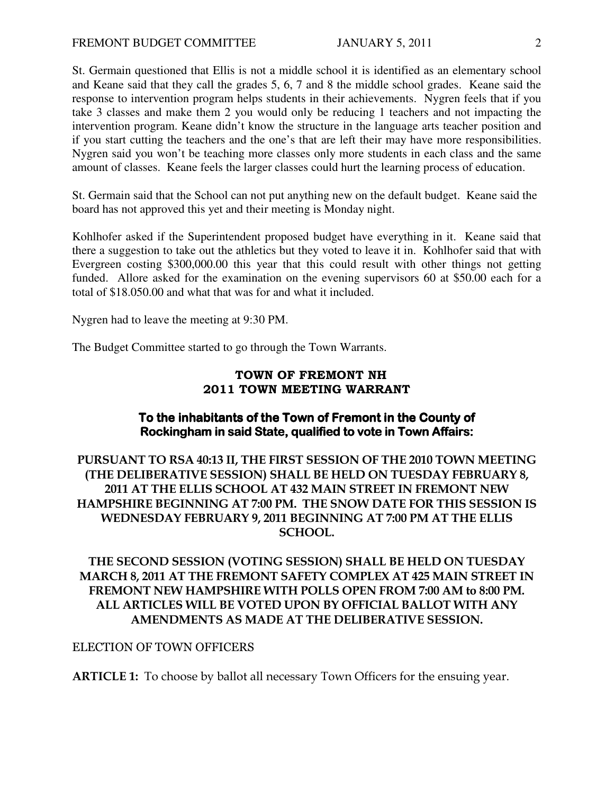St. Germain questioned that Ellis is not a middle school it is identified as an elementary school and Keane said that they call the grades 5, 6, 7 and 8 the middle school grades. Keane said the response to intervention program helps students in their achievements. Nygren feels that if you take 3 classes and make them 2 you would only be reducing 1 teachers and not impacting the intervention program. Keane didn't know the structure in the language arts teacher position and if you start cutting the teachers and the one's that are left their may have more responsibilities. Nygren said you won't be teaching more classes only more students in each class and the same amount of classes. Keane feels the larger classes could hurt the learning process of education.

St. Germain said that the School can not put anything new on the default budget. Keane said the board has not approved this yet and their meeting is Monday night.

Kohlhofer asked if the Superintendent proposed budget have everything in it. Keane said that there a suggestion to take out the athletics but they voted to leave it in. Kohlhofer said that with Evergreen costing \$300,000.00 this year that this could result with other things not getting funded. Allore asked for the examination on the evening supervisors 60 at \$50.00 each for a total of \$18.050.00 and what that was for and what it included.

Nygren had to leave the meeting at 9:30 PM.

The Budget Committee started to go through the Town Warrants.

## TOWN OF FREMONT NH 2011 TOWN MEETING WARRANT

## To the inhabitants of the Town of Fremont in the County of Rockingham in said State, qualified to vote in Town Affairs:

PURSUANT TO RSA 40:13 II, THE FIRST SESSION OF THE 2010 TOWN MEETING (THE DELIBERATIVE SESSION) SHALL BE HELD ON TUESDAY FEBRUARY 8, 2011 AT THE ELLIS SCHOOL AT 432 MAIN STREET IN FREMONT NEW HAMPSHIRE BEGINNING AT 7:00 PM. THE SNOW DATE FOR THIS SESSION IS WEDNESDAY FEBRUARY 9, 2011 BEGINNING AT 7:00 PM AT THE ELLIS SCHOOL.

# THE SECOND SESSION (VOTING SESSION) SHALL BE HELD ON TUESDAY MARCH 8, 2011 AT THE FREMONT SAFETY COMPLEX AT 425 MAIN STREET IN FREMONT NEW HAMPSHIRE WITH POLLS OPEN FROM 7:00 AM to 8:00 PM. ALL ARTICLES WILL BE VOTED UPON BY OFFICIAL BALLOT WITH ANY AMENDMENTS AS MADE AT THE DELIBERATIVE SESSION.

### ELECTION OF TOWN OFFICERS

ARTICLE 1: To choose by ballot all necessary Town Officers for the ensuing year.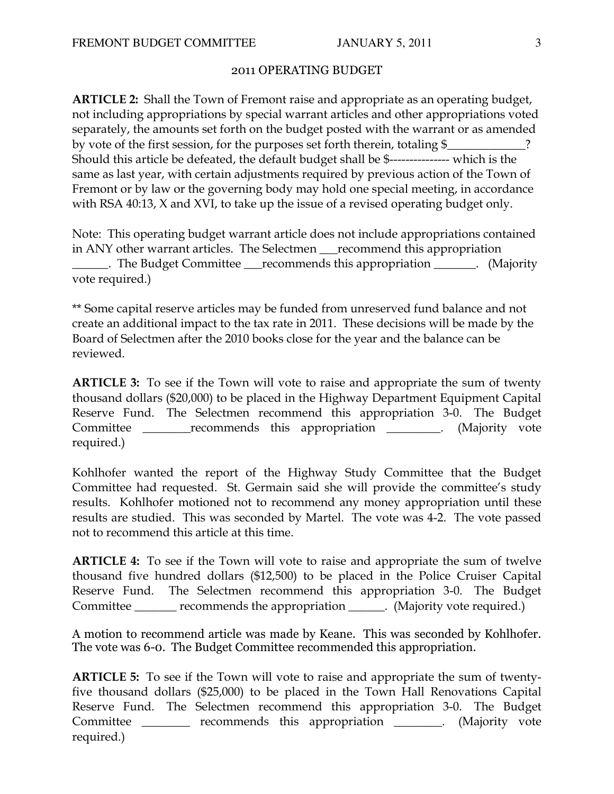### 2011 OPERATING BUDGET

ARTICLE 2: Shall the Town of Fremont raise and appropriate as an operating budget, not including appropriations by special warrant articles and other appropriations voted separately, the amounts set forth on the budget posted with the warrant or as amended by vote of the first session, for the purposes set forth therein, totaling \$ Should this article be defeated, the default budget shall be \$--------------- which is the same as last year, with certain adjustments required by previous action of the Town of Fremont or by law or the governing body may hold one special meeting, in accordance with RSA 40:13, X and XVI, to take up the issue of a revised operating budget only.

Note: This operating budget warrant article does not include appropriations contained in ANY other warrant articles. The Selectmen \_\_\_recommend this appropriation \_\_\_\_\_\_. The Budget Committee \_\_\_recommends this appropriation \_\_\_\_\_\_\_. (Majority vote required.)

\*\* Some capital reserve articles may be funded from unreserved fund balance and not create an additional impact to the tax rate in 2011. These decisions will be made by the Board of Selectmen after the 2010 books close for the year and the balance can be reviewed.

ARTICLE 3: To see if the Town will vote to raise and appropriate the sum of twenty thousand dollars (\$20,000) to be placed in the Highway Department Equipment Capital Reserve Fund. The Selectmen recommend this appropriation 3-0. The Budget Committee \_\_\_\_\_\_\_\_\_recommends this appropriation \_\_\_\_\_\_\_\_. (Majority vote required.)

Kohlhofer wanted the report of the Highway Study Committee that the Budget Committee had requested. St. Germain said she will provide the committee's study results. Kohlhofer motioned not to recommend any money appropriation until these results are studied. This was seconded by Martel. The vote was 4-2. The vote passed not to recommend this article at this time.

ARTICLE 4: To see if the Town will vote to raise and appropriate the sum of twelve thousand five hundred dollars (\$12,500) to be placed in the Police Cruiser Capital Reserve Fund. The Selectmen recommend this appropriation 3-0. The Budget Committee \_\_\_\_\_\_\_ recommends the appropriation \_\_\_\_\_\_. (Majority vote required.)

A motion to recommend article was made by Keane. This was seconded by Kohlhofer. The vote was 6-0. The Budget Committee recommended this appropriation.

ARTICLE 5: To see if the Town will vote to raise and appropriate the sum of twentyfive thousand dollars (\$25,000) to be placed in the Town Hall Renovations Capital Reserve Fund. The Selectmen recommend this appropriation 3-0. The Budget Committee \_\_\_\_\_\_\_\_ recommends this appropriation \_\_\_\_\_\_\_. (Majority vote required.)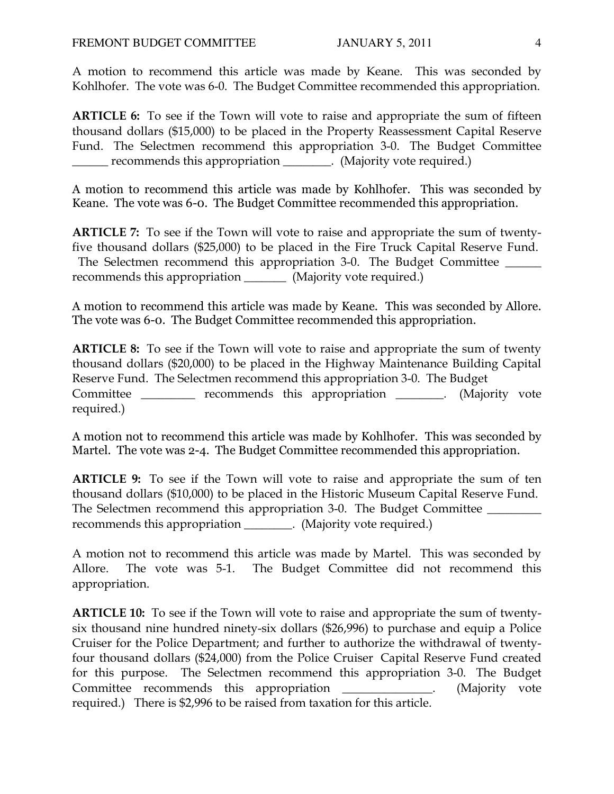A motion to recommend this article was made by Keane. This was seconded by Kohlhofer. The vote was 6-0. The Budget Committee recommended this appropriation.

ARTICLE 6: To see if the Town will vote to raise and appropriate the sum of fifteen thousand dollars (\$15,000) to be placed in the Property Reassessment Capital Reserve Fund. The Selectmen recommend this appropriation 3-0. The Budget Committee \_\_\_\_\_\_ recommends this appropriation \_\_\_\_\_\_\_\_. (Majority vote required.)

A motion to recommend this article was made by Kohlhofer. This was seconded by Keane. The vote was 6-0. The Budget Committee recommended this appropriation.

ARTICLE 7: To see if the Town will vote to raise and appropriate the sum of twentyfive thousand dollars (\$25,000) to be placed in the Fire Truck Capital Reserve Fund. The Selectmen recommend this appropriation 3-0. The Budget Committee \_\_\_\_\_\_\_ recommends this appropriation \_\_\_\_\_\_\_\_\_ (Majority vote required.)

A motion to recommend this article was made by Keane. This was seconded by Allore. The vote was 6-0. The Budget Committee recommended this appropriation.

ARTICLE 8: To see if the Town will vote to raise and appropriate the sum of twenty thousand dollars (\$20,000) to be placed in the Highway Maintenance Building Capital Reserve Fund. The Selectmen recommend this appropriation 3-0. The Budget Committee \_\_\_\_\_\_\_\_\_ recommends this appropriation \_\_\_\_\_\_\_. (Majority vote required.)

A motion not to recommend this article was made by Kohlhofer. This was seconded by Martel. The vote was 2-4. The Budget Committee recommended this appropriation.

ARTICLE 9: To see if the Town will vote to raise and appropriate the sum of ten thousand dollars (\$10,000) to be placed in the Historic Museum Capital Reserve Fund. The Selectmen recommend this appropriation 3-0. The Budget Committee recommends this appropriation \_\_\_\_\_\_\_\_. (Majority vote required.)

A motion not to recommend this article was made by Martel. This was seconded by Allore. The vote was 5-1. The Budget Committee did not recommend this appropriation.

ARTICLE 10: To see if the Town will vote to raise and appropriate the sum of twentysix thousand nine hundred ninety-six dollars (\$26,996) to purchase and equip a Police Cruiser for the Police Department; and further to authorize the withdrawal of twentyfour thousand dollars (\$24,000) from the Police Cruiser Capital Reserve Fund created for this purpose. The Selectmen recommend this appropriation 3-0. The Budget Committee recommends this appropriation \_\_\_\_\_\_\_\_\_\_\_\_\_. (Majority vote required.) There is \$2,996 to be raised from taxation for this article.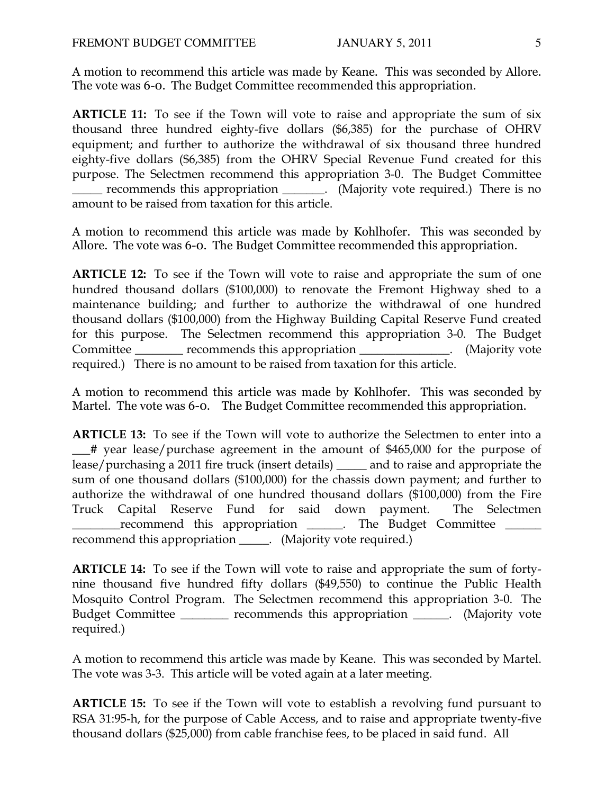A motion to recommend this article was made by Keane. This was seconded by Allore. The vote was 6-0. The Budget Committee recommended this appropriation.

ARTICLE 11: To see if the Town will vote to raise and appropriate the sum of six thousand three hundred eighty-five dollars (\$6,385) for the purchase of OHRV equipment; and further to authorize the withdrawal of six thousand three hundred eighty-five dollars (\$6,385) from the OHRV Special Revenue Fund created for this purpose. The Selectmen recommend this appropriation 3-0. The Budget Committee \_\_\_\_\_ recommends this appropriation \_\_\_\_\_\_\_. (Majority vote required.) There is no amount to be raised from taxation for this article.

A motion to recommend this article was made by Kohlhofer. This was seconded by Allore. The vote was 6-0. The Budget Committee recommended this appropriation.

ARTICLE 12: To see if the Town will vote to raise and appropriate the sum of one hundred thousand dollars (\$100,000) to renovate the Fremont Highway shed to a maintenance building; and further to authorize the withdrawal of one hundred thousand dollars (\$100,000) from the Highway Building Capital Reserve Fund created for this purpose. The Selectmen recommend this appropriation 3-0. The Budget Committee <u>\_\_\_\_\_\_\_</u> recommends this appropriation \_\_\_\_\_\_\_\_\_\_\_\_\_\_. (Majority vote required.) There is no amount to be raised from taxation for this article.

A motion to recommend this article was made by Kohlhofer. This was seconded by Martel. The vote was 6-0. The Budget Committee recommended this appropriation.

ARTICLE 13: To see if the Town will vote to authorize the Selectmen to enter into a \_\_\_# year lease/purchase agreement in the amount of \$465,000 for the purpose of lease/purchasing a 2011 fire truck (insert details) \_\_\_\_\_ and to raise and appropriate the sum of one thousand dollars (\$100,000) for the chassis down payment; and further to authorize the withdrawal of one hundred thousand dollars (\$100,000) from the Fire Truck Capital Reserve Fund for said down payment. The Selectmen \_\_\_\_\_\_\_\_recommend this appropriation \_\_\_\_\_\_. The Budget Committee \_\_\_\_\_\_ recommend this appropriation \_\_\_\_\_. (Majority vote required.)

ARTICLE 14: To see if the Town will vote to raise and appropriate the sum of fortynine thousand five hundred fifty dollars (\$49,550) to continue the Public Health Mosquito Control Program. The Selectmen recommend this appropriation 3-0. The Budget Committee \_\_\_\_\_\_\_\_ recommends this appropriation \_\_\_\_\_\_. (Majority vote required.)

A motion to recommend this article was made by Keane. This was seconded by Martel. The vote was 3-3. This article will be voted again at a later meeting.

ARTICLE 15: To see if the Town will vote to establish a revolving fund pursuant to RSA 31:95-h, for the purpose of Cable Access, and to raise and appropriate twenty-five thousand dollars (\$25,000) from cable franchise fees, to be placed in said fund. All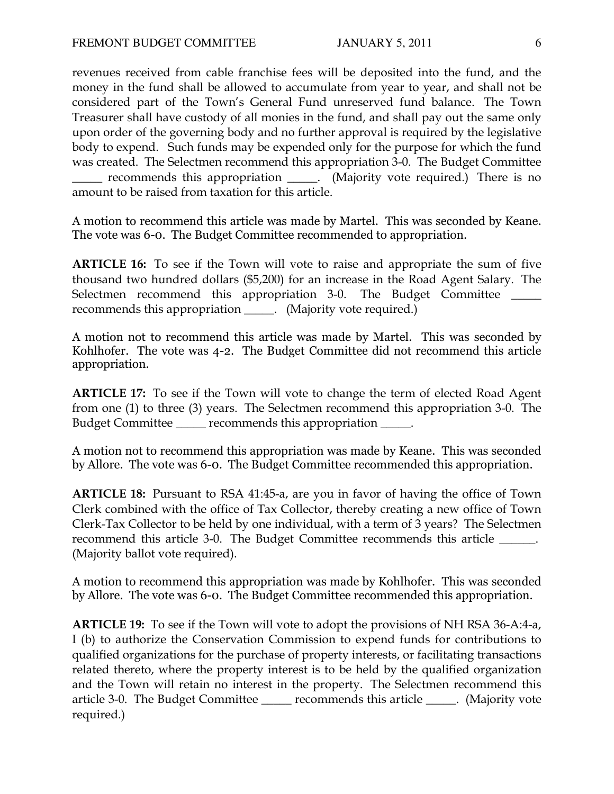revenues received from cable franchise fees will be deposited into the fund, and the money in the fund shall be allowed to accumulate from year to year, and shall not be considered part of the Town's General Fund unreserved fund balance. The Town Treasurer shall have custody of all monies in the fund, and shall pay out the same only upon order of the governing body and no further approval is required by the legislative body to expend. Such funds may be expended only for the purpose for which the fund was created. The Selectmen recommend this appropriation 3-0. The Budget Committee

\_\_\_\_\_ recommends this appropriation \_\_\_\_\_. (Majority vote required.) There is no amount to be raised from taxation for this article.

A motion to recommend this article was made by Martel. This was seconded by Keane. The vote was 6-0. The Budget Committee recommended to appropriation.

ARTICLE 16: To see if the Town will vote to raise and appropriate the sum of five thousand two hundred dollars (\$5,200) for an increase in the Road Agent Salary. The Selectmen recommend this appropriation 3-0. The Budget Committee \_\_\_\_\_ recommends this appropriation \_\_\_\_\_. (Majority vote required.)

A motion not to recommend this article was made by Martel. This was seconded by Kohlhofer. The vote was 4-2. The Budget Committee did not recommend this article appropriation.

ARTICLE 17: To see if the Town will vote to change the term of elected Road Agent from one (1) to three (3) years. The Selectmen recommend this appropriation 3-0. The Budget Committee \_\_\_\_\_ recommends this appropriation \_\_\_\_\_.

A motion not to recommend this appropriation was made by Keane. This was seconded by Allore. The vote was 6-0. The Budget Committee recommended this appropriation.

ARTICLE 18: Pursuant to RSA 41:45-a, are you in favor of having the office of Town Clerk combined with the office of Tax Collector, thereby creating a new office of Town Clerk-Tax Collector to be held by one individual, with a term of 3 years? The Selectmen recommend this article 3-0. The Budget Committee recommends this article \_\_\_\_\_\_. (Majority ballot vote required).

A motion to recommend this appropriation was made by Kohlhofer. This was seconded by Allore. The vote was 6-0. The Budget Committee recommended this appropriation.

ARTICLE 19: To see if the Town will vote to adopt the provisions of NH RSA 36-A:4-a, I (b) to authorize the Conservation Commission to expend funds for contributions to qualified organizations for the purchase of property interests, or facilitating transactions related thereto, where the property interest is to be held by the qualified organization and the Town will retain no interest in the property. The Selectmen recommend this article 3-0. The Budget Committee \_\_\_\_\_ recommends this article \_\_\_\_\_. (Majority vote required.)